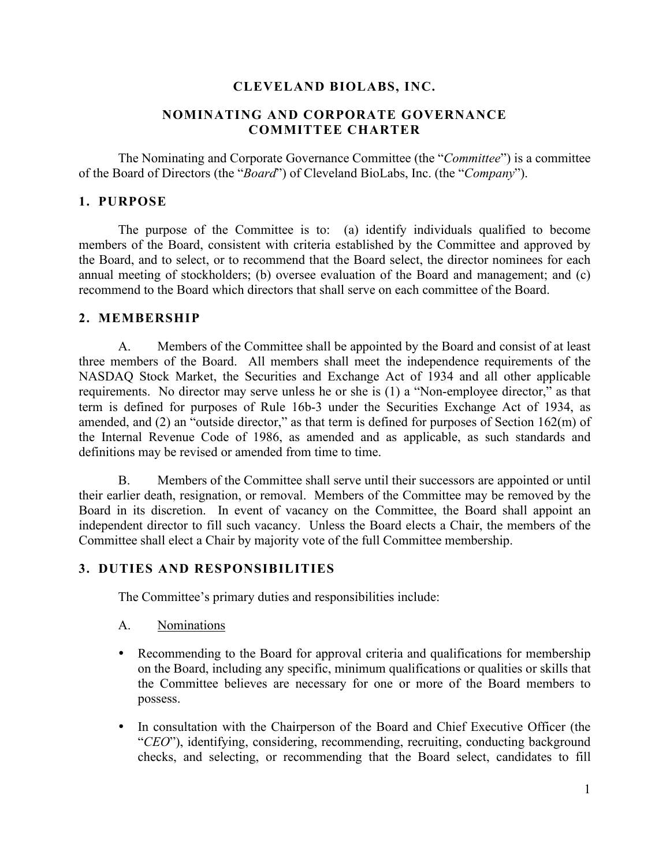### **CLEVELAND BIOLABS, INC.**

### **NOMINATING AND CORPORATE GOVERNANCE COMMITTEE CHARTER**

The Nominating and Corporate Governance Committee (the "*Committee*") is a committee of the Board of Directors (the "*Board*") of Cleveland BioLabs, Inc. (the "*Company*").

#### **1. PURPOSE**

The purpose of the Committee is to: (a) identify individuals qualified to become members of the Board, consistent with criteria established by the Committee and approved by the Board, and to select, or to recommend that the Board select, the director nominees for each annual meeting of stockholders; (b) oversee evaluation of the Board and management; and (c) recommend to the Board which directors that shall serve on each committee of the Board.

#### **2. MEMBERSHIP**

A. Members of the Committee shall be appointed by the Board and consist of at least three members of the Board. All members shall meet the independence requirements of the NASDAQ Stock Market, the Securities and Exchange Act of 1934 and all other applicable requirements. No director may serve unless he or she is (1) a "Non-employee director," as that term is defined for purposes of Rule 16b-3 under the Securities Exchange Act of 1934, as amended, and (2) an "outside director," as that term is defined for purposes of Section 162(m) of the Internal Revenue Code of 1986, as amended and as applicable, as such standards and definitions may be revised or amended from time to time.

B. Members of the Committee shall serve until their successors are appointed or until their earlier death, resignation, or removal. Members of the Committee may be removed by the Board in its discretion. In event of vacancy on the Committee, the Board shall appoint an independent director to fill such vacancy. Unless the Board elects a Chair, the members of the Committee shall elect a Chair by majority vote of the full Committee membership.

#### **3. DUTIES AND RESPONSIBILITIES**

The Committee's primary duties and responsibilities include:

#### A. Nominations

- Recommending to the Board for approval criteria and qualifications for membership on the Board, including any specific, minimum qualifications or qualities or skills that the Committee believes are necessary for one or more of the Board members to possess.
- In consultation with the Chairperson of the Board and Chief Executive Officer (the "*CEO*"), identifying, considering, recommending, recruiting, conducting background checks, and selecting, or recommending that the Board select, candidates to fill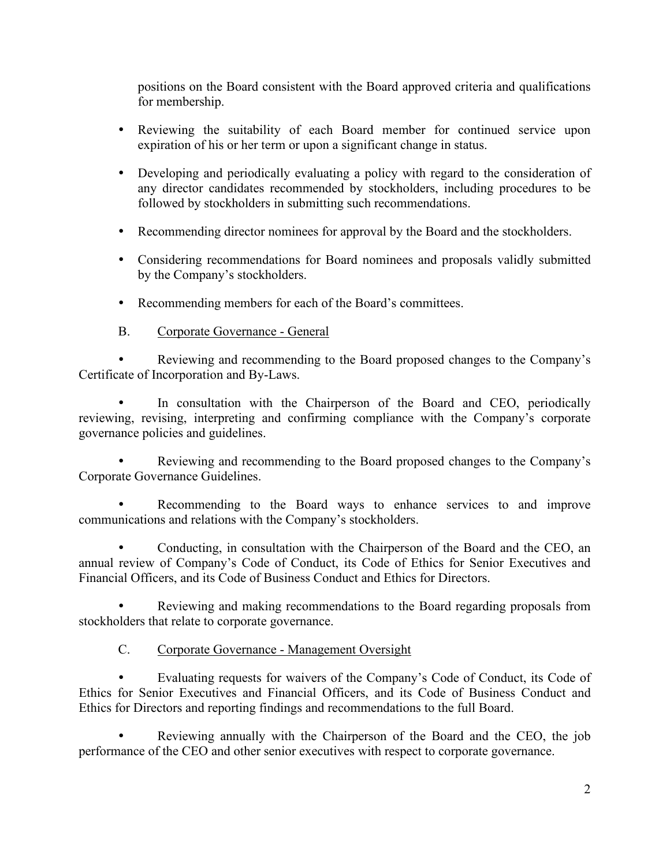positions on the Board consistent with the Board approved criteria and qualifications for membership.

- Reviewing the suitability of each Board member for continued service upon expiration of his or her term or upon a significant change in status.
- Developing and periodically evaluating a policy with regard to the consideration of any director candidates recommended by stockholders, including procedures to be followed by stockholders in submitting such recommendations.
- Recommending director nominees for approval by the Board and the stockholders.
- Considering recommendations for Board nominees and proposals validly submitted by the Company's stockholders.
- Recommending members for each of the Board's committees.
- B. Corporate Governance General

 Reviewing and recommending to the Board proposed changes to the Company's Certificate of Incorporation and By-Laws.

• In consultation with the Chairperson of the Board and CEO, periodically reviewing, revising, interpreting and confirming compliance with the Company's corporate governance policies and guidelines.

 Reviewing and recommending to the Board proposed changes to the Company's Corporate Governance Guidelines.

 Recommending to the Board ways to enhance services to and improve communications and relations with the Company's stockholders.

 Conducting, in consultation with the Chairperson of the Board and the CEO, an annual review of Company's Code of Conduct, its Code of Ethics for Senior Executives and Financial Officers, and its Code of Business Conduct and Ethics for Directors.

 Reviewing and making recommendations to the Board regarding proposals from stockholders that relate to corporate governance.

## C. Corporate Governance - Management Oversight

 Evaluating requests for waivers of the Company's Code of Conduct, its Code of Ethics for Senior Executives and Financial Officers, and its Code of Business Conduct and Ethics for Directors and reporting findings and recommendations to the full Board.

 Reviewing annually with the Chairperson of the Board and the CEO, the job performance of the CEO and other senior executives with respect to corporate governance.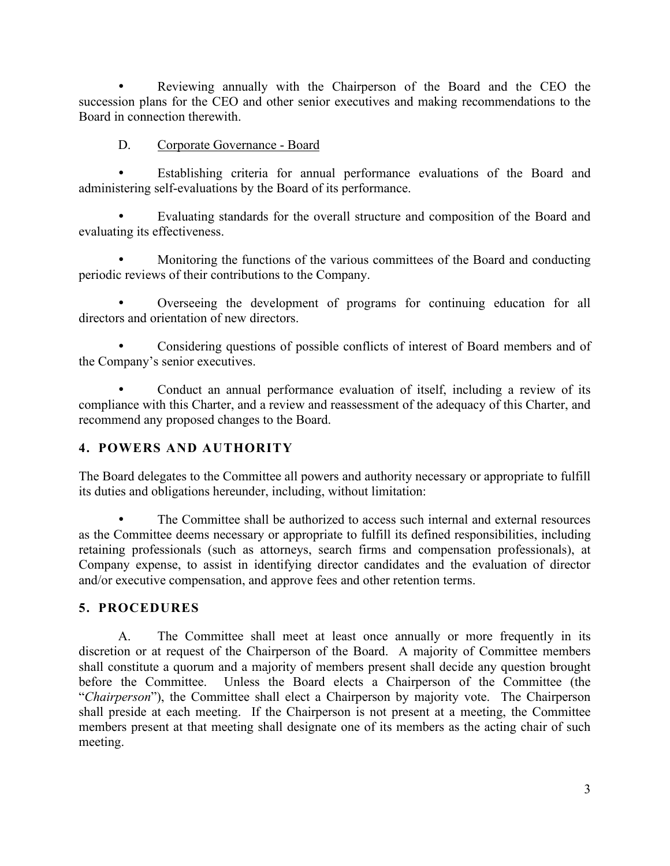Reviewing annually with the Chairperson of the Board and the CEO the succession plans for the CEO and other senior executives and making recommendations to the Board in connection therewith.

## D. Corporate Governance - Board

 Establishing criteria for annual performance evaluations of the Board and administering self-evaluations by the Board of its performance.

 Evaluating standards for the overall structure and composition of the Board and evaluating its effectiveness.

 Monitoring the functions of the various committees of the Board and conducting periodic reviews of their contributions to the Company.

 Overseeing the development of programs for continuing education for all directors and orientation of new directors.

 Considering questions of possible conflicts of interest of Board members and of the Company's senior executives.

 Conduct an annual performance evaluation of itself, including a review of its compliance with this Charter, and a review and reassessment of the adequacy of this Charter, and recommend any proposed changes to the Board.

# **4. POWERS AND AUTHORITY**

The Board delegates to the Committee all powers and authority necessary or appropriate to fulfill its duties and obligations hereunder, including, without limitation:

 The Committee shall be authorized to access such internal and external resources as the Committee deems necessary or appropriate to fulfill its defined responsibilities, including retaining professionals (such as attorneys, search firms and compensation professionals), at Company expense, to assist in identifying director candidates and the evaluation of director and/or executive compensation, and approve fees and other retention terms.

# **5. PROCEDURES**

A. The Committee shall meet at least once annually or more frequently in its discretion or at request of the Chairperson of the Board. A majority of Committee members shall constitute a quorum and a majority of members present shall decide any question brought before the Committee. Unless the Board elects a Chairperson of the Committee (the "*Chairperson*"), the Committee shall elect a Chairperson by majority vote. The Chairperson shall preside at each meeting. If the Chairperson is not present at a meeting, the Committee members present at that meeting shall designate one of its members as the acting chair of such meeting.